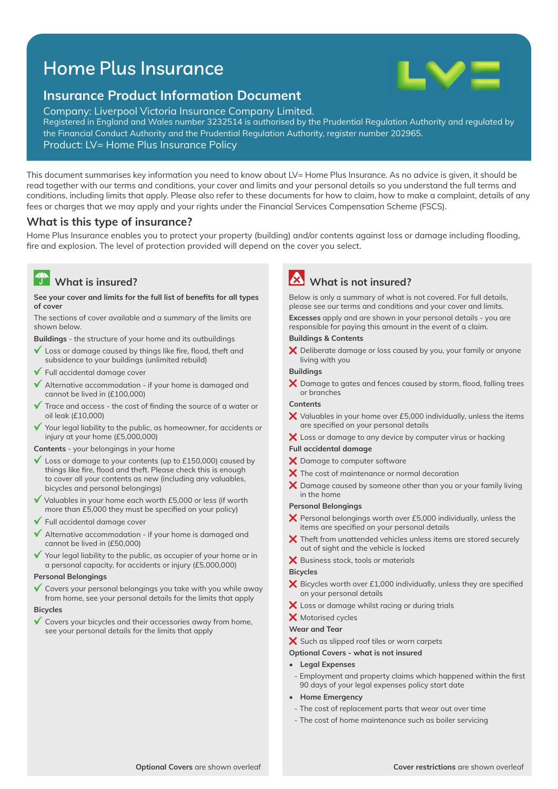# Home Plus Insurance



## **Insurance Product Information Document**

Company: Liverpool Victoria Insurance Company Limited. Registered in England and Wales number 3232514 is authorised by the Prudential Regulation Authority and regulated by the Financial Conduct Authority and the Prudential Regulation Authority, register number 202965. Product: LV= Home Plus Insurance Policy

This document summarises key information you need to know about LV= Home Plus Insurance. As no advice is given, it should be read together with our terms and conditions, your cover and limits and your personal details so you understand the full terms and conditions, including limits that apply. Please also refer to these documents for how to claim, how to make a complaint, details of any fees or charges that we may apply and your rights under the Financial Services Compensation Scheme (FSCS).

### **What is this type of insurance?**

Home Plus Insurance enables you to protect your property (building) and/or contents against loss or damage including flooding, fire and explosion. The level of protection provided will depend on the cover you select.

# **What is insured?**

#### See your cover and limits for the full list of benefits for all types **of cover**

The sections of cover available and a summary of the limits are shown below.

**Buildings** - the structure of your home and its outbuildings

- $\mathbf{v}$ Loss or damage caused by things like fire, flood, theft and subsidence to your buildings (unlimited rebuild)
- Full accidental damage cover
- $\checkmark$  Alternative accommodation if your home is damaged and cannot be lived in (£100,000)
- Trace and access the cost of finding the source of a water or oil leak (£10,000)
- Your legal liability to the public, as homeowner, for accidents or  $\checkmark$ injury at your home (£5,000,000)

**Contents** - your belongings in your home

- $\checkmark$  Loss or damage to your contents (up to £150,000) caused by things like fire, flood and theft. Please check this is enough to cover all your contents as new (including any valuables, bicycles and personal belongings)
- Valuables in your home each worth £5,000 or less (if worth more than £5,000 they must be specified on your policy)
- $\checkmark$  Full accidental damage cover
- Alternative accommodation if your home is damaged and cannot be lived in (£50,000)
- Your legal liability to the public, as occupier of your home or in a personal capacity, for accidents or injury (£5,000,000)

#### **Personal Belongings**

 $\checkmark$  Covers your personal belongings you take with you while away from home, see your personal details for the limits that apply

#### **Bicycles**

 $\checkmark$  Covers your bicycles and their accessories away from home, see your personal details for the limits that apply

# **What is not insured?**

Below is only a summary of what is not covered. For full details, please see our terms and conditions and your cover and limits.

**Excesses** apply and are shown in your personal details - you are responsible for paying this amount in the event of a claim.

#### **Buildings & Contents**

X Deliberate damage or loss caused by you, your family or anyone living with you

#### **Buildings**

 $\bm{\times}$  Damage to gates and fences caused by storm, flood, falling trees or branches

#### **Contents**

- $\bm{\times}$  Valuables in your home over £5,000 individually, unless the items are specified on your personal details
- X Loss or damage to any device by computer virus or hacking

#### **Full accidental damage**

- X Damage to computer software
- $\boldsymbol{\times}$  The cost of maintenance or normal decoration
- $\bm{\times}$  Damage caused by someone other than you or your family living in the home

#### **Personal Belongings**

- $\bm{\times}$  Personal belongings worth over £5,000 individually, unless the items are specified on your personal details
- $\boldsymbol{\times}$  Theft from unattended vehicles unless items are stored securely out of sight and the vehicle is locked
- X Business stock, tools or materials

#### **Bicycles**

- $\times$  Bicycles worth over £1,000 individually, unless they are specified on your personal details
- $\bm{\times}$  Loss or damage whilst racing or during trials
- X Motorised cycles

#### **Wear and Tear**

- $\boldsymbol{\times}$  Such as slipped roof tiles or worn carpets
- **Optional Covers what is not insured**
- **Legal Expenses**
- Employment and property claims which happened within the first 90 days of your legal expenses policy start date
- **Home Emergency**
- The cost of replacement parts that wear out over time
- The cost of home maintenance such as boiler servicing